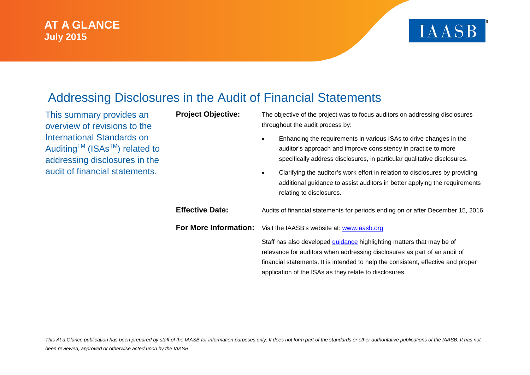### **AT A GLANCE July 2015**

# **IAASB**

## Addressing Disclosures in the Audit of Financial Statements

This summary provides an overview of revisions to the International Standards on Auditing<sup>™</sup> (ISAs<sup>™</sup>) related to addressing disclosures in the audit of financial statements.

**Project Objective:** The objective of the project was to focus auditors on addressing disclosures throughout the audit process by:

- Enhancing the requirements in various ISAs to drive changes in the auditor's approach and improve consistency in practice to more specifically address disclosures, in particular qualitative disclosures.
- Clarifying the auditor's work effort in relation to disclosures by providing additional guidance to assist auditors in better applying the requirements relating to disclosures.

**Effective Date:** Audits of financial statements for periods ending on or after December 15, 2016 **For More Information:** Visit the IAASB's website at: [www.iaasb.org](http://www.iaasb.org/) Staff has also developed [guidance](https://www.ifac.org/publications-resources/addressing-disclosures-audit-financial-statements) highlighting matters that may be of relevance for auditors when addressing disclosures as part of an audit of financial statements. It is intended to help the consistent, effective and proper application of the ISAs as they relate to disclosures.

This At a Glance publication has been prepared by staff of the IAASB for information purposes only. It does not form part of the standards or other authoritative publications of the IAASB. It has not *been reviewed, approved or otherwise acted upon by the IAASB.*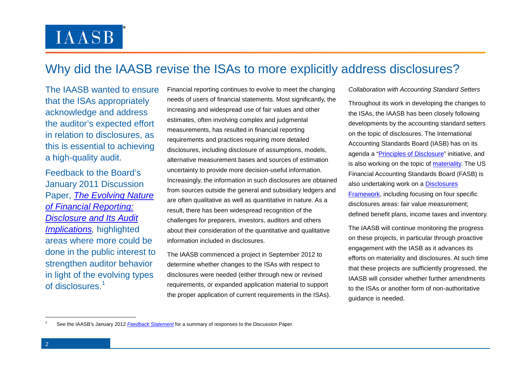# **IAASB**

## Why did the IAASB revise the ISAs to more explicitly address disclosures?

The IAASB wanted to ensure that the ISAs appropriately acknowledge and address the auditor's expected effort in relation to disclosures, as this is essential to achieving a high-quality audit.

Feedback to the Board's January 2011 Discussion Paper, *[The Evolving Nature](http://www.ifac.org/sites/default/files/publications/exposure-drafts/IAASB-Disclosures_Discussion_Paper.pdf)  [of Financial Reporting:](http://www.ifac.org/sites/default/files/publications/exposure-drafts/IAASB-Disclosures_Discussion_Paper.pdf)  [Disclosure and Its Audit](http://www.ifac.org/sites/default/files/publications/exposure-drafts/IAASB-Disclosures_Discussion_Paper.pdf)  [Implications,](http://www.ifac.org/sites/default/files/publications/exposure-drafts/IAASB-Disclosures_Discussion_Paper.pdf)* highlighted areas where more could be done in the public interest to strengthen auditor behavior in light of the evolving types of disclosures.[1](#page-1-0)

Financial reporting continues to evolve to meet the changing needs of users of financial statements. Most significantly, the increasing and widespread use of fair values and other estimates, often involving complex and judgmental measurements, has resulted in financial reporting requirements and practices requiring more detailed disclosures, including disclosure of assumptions, models, alternative measurement bases and sources of estimation uncertainty to provide more decision-useful information. Increasingly, the information in such disclosures are obtained from sources outside the general and subsidiary ledgers and are often qualitative as well as quantitative in nature. As a result, there has been widespread recognition of the challenges for preparers, investors, auditors and others about their consideration of the quantitative and qualitative information included in disclosures.

The IAASB commenced a project in September 2012 to determine whether changes to the ISAs with respect to disclosures were needed (either through new or revised requirements, or expanded application material to support the proper application of current requirements in the ISAs). <span id="page-1-0"></span>*Collaboration with Accounting Standard Setters*

Throughout its work in developing the changes to the ISAs, the IAASB has been closely following developments by the accounting standard setters on the topic of disclosures. The International Accounting Standards Board (IASB) has on its agenda a ["Principles of Disclosure"](http://www.ifrs.org/Current-Projects/IASB-Projects/Disclosure-Initiative/Principles-of-Disclosure/Pages/Home.aspx) initiative, and is also working on the topic of [materiality.](http://www.ifrs.org/Current-Projects/IASB-Projects/Disclosure-Initiative/Materiality/Pages/Home.aspx) The US Financial Accounting Standards Board (FASB) is also undertaking work on a [Disclosures](http://www.fasb.org/jsp/FASB/FASBContent_C/ProjectUpdatePage&cid=1176163077030)  [Framework,](http://www.fasb.org/jsp/FASB/FASBContent_C/ProjectUpdatePage&cid=1176163077030) including focusing on four specific disclosures areas: fair value measurement; defined benefit plans, income taxes and inventory.

The IAASB will continue monitoring the progress on these projects, in particular through proactive engagement with the IASB as it advances its efforts on materiality and disclosures. At such time that these projects are sufficiently progressed, the IAASB will consider whether further amendments to the ISAs or another form of non-authoritative guidance is needed.

-

<sup>1</sup> See the IAASB's January 2012 *[Feedback Statement](http://www.ifac.org/publications-resources/feedback-statement-disclosures)* for a summary of responses to the Discussion Paper.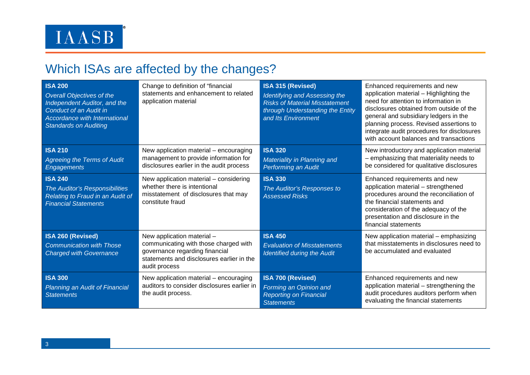## Which ISAs are affected by the changes?

| <b>ISA 200</b><br><b>Overall Objectives of the</b><br>Independent Auditor, and the<br>Conduct of an Audit in<br>Accordance with International<br><b>Standards on Auditing</b> | Change to definition of "financial<br>statements and enhancement to related<br>application material                                                                 | ISA 315 (Revised)<br>Identifying and Assessing the<br><b>Risks of Material Misstatement</b><br>through Understanding the Entity<br>and Its Environment | Enhanced requirements and new<br>application material - Highlighting the<br>need for attention to information in<br>disclosures obtained from outside of the<br>general and subsidiary ledgers in the<br>planning process. Revised assertions to<br>integrate audit procedures for disclosures<br>with account balances and transactions |
|-------------------------------------------------------------------------------------------------------------------------------------------------------------------------------|---------------------------------------------------------------------------------------------------------------------------------------------------------------------|--------------------------------------------------------------------------------------------------------------------------------------------------------|------------------------------------------------------------------------------------------------------------------------------------------------------------------------------------------------------------------------------------------------------------------------------------------------------------------------------------------|
| <b>ISA 210</b><br><b>Agreeing the Terms of Audit</b><br><b>Engagements</b>                                                                                                    | New application material - encouraging<br>management to provide information for<br>disclosures earlier in the audit process                                         | <b>ISA 320</b><br>Materiality in Planning and<br>Performing an Audit                                                                                   | New introductory and application material<br>- emphasizing that materiality needs to<br>be considered for qualitative disclosures                                                                                                                                                                                                        |
| <b>ISA 240</b><br>The Auditor's Responsibilities<br>Relating to Fraud in an Audit of<br><b>Financial Statements</b>                                                           | New application material – considering<br>whether there is intentional<br>misstatement of disclosures that may<br>constitute fraud                                  | <b>ISA 330</b><br>The Auditor's Responses to<br><b>Assessed Risks</b>                                                                                  | Enhanced requirements and new<br>application material - strengthened<br>procedures around the reconciliation of<br>the financial statements and<br>consideration of the adequacy of the<br>presentation and disclosure in the<br>financial statements                                                                                    |
| ISA 260 (Revised)<br><b>Communication with Those</b><br><b>Charged with Governance</b>                                                                                        | New application material -<br>communicating with those charged with<br>governance regarding financial<br>statements and disclosures earlier in the<br>audit process | <b>ISA 450</b><br><b>Evaluation of Misstatements</b><br><b>Identified during the Audit</b>                                                             | New application material - emphasizing<br>that misstatements in disclosures need to<br>be accumulated and evaluated                                                                                                                                                                                                                      |
| <b>ISA 300</b><br><b>Planning an Audit of Financial</b><br><b>Statements</b>                                                                                                  | New application material - encouraging<br>auditors to consider disclosures earlier in<br>the audit process.                                                         | <b>ISA 700 (Revised)</b><br>Forming an Opinion and<br><b>Reporting on Financial</b><br><b>Statements</b>                                               | Enhanced requirements and new<br>application material - strengthening the<br>audit procedures auditors perform when<br>evaluating the financial statements                                                                                                                                                                               |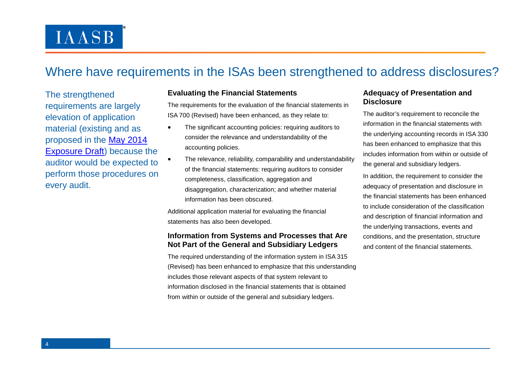# **IAASB**

## Where have requirements in the ISAs been strengthened to address disclosures?

The strengthened requirements are largely elevation of application material (existing and as proposed in the [May 2014](http://www.ifac.org/system/files/publications/files/IAASB-Disclosures-Exposure-Draft.pdf)  [Exposure Draft\)](http://www.ifac.org/system/files/publications/files/IAASB-Disclosures-Exposure-Draft.pdf) because the auditor would be expected to perform those procedures on every audit.

#### **Evaluating the Financial Statements**

The requirements for the evaluation of the financial statements in ISA 700 (Revised) have been enhanced, as they relate to:

- The significant accounting policies: requiring auditors to consider the relevance and understandability of the accounting policies.
- The relevance, reliability, comparability and understandability of the financial statements: requiring auditors to consider completeness, classification, aggregation and disaggregation, characterization; and whether material information has been obscured.

Additional application material for evaluating the financial statements has also been developed.

#### **Information from Systems and Processes that Are Not Part of the General and Subsidiary Ledgers**

The required understanding of the information system in ISA 315 (Revised) has been enhanced to emphasize that this understanding includes those relevant aspects of that system relevant to information disclosed in the financial statements that is obtained from within or outside of the general and subsidiary ledgers.

#### **Adequacy of Presentation and Disclosure**

The auditor's requirement to reconcile the information in the financial statements with the underlying accounting records in ISA 330 has been enhanced to emphasize that this includes information from within or outside of the general and subsidiary ledgers.

In addition, the requirement to consider the adequacy of presentation and disclosure in the financial statements has been enhanced to include consideration of the classification and description of financial information and the underlying transactions, events and conditions, and the presentation, structure and content of the financial statements.